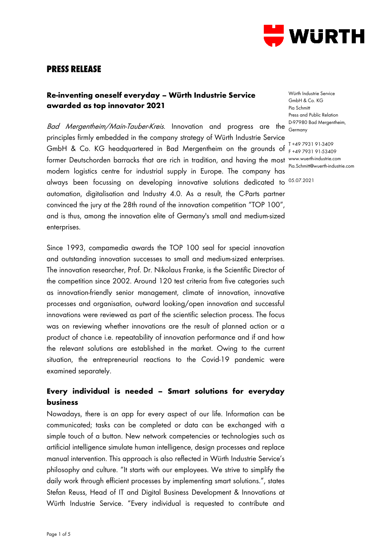

# **PRESS RELEASE**

### **Re-inventing oneself everyday – Würth Industrie Service awarded as top innovator 2021**

Bad Mergentheim/Main-Tauber-Kreis. Innovation and progress are the principles firmly embedded in the company strategy of Würth Industrie Service GmbH & Co. KG headquartered in Bad Mergentheim on the grounds of T +49 7931 91-3409 former Deutschorden barracks that are rich in tradition, and having the most modern logistics centre for industrial supply in Europe. The company has always been focussing on developing innovative solutions dedicated to 05.07.2021automation, digitalisation and Industry 4.0. As a result, the C-Parts partner convinced the jury at the 28th round of the innovation competition "TOP 100", and is thus, among the innovation elite of Germany's small and medium-sized enterprises.

Since 1993, compamedia awards the TOP 100 seal for special innovation and outstanding innovation successes to small and medium-sized enterprises. The innovation researcher, Prof. Dr. Nikolaus Franke, is the Scientific Director of the competition since 2002. Around 120 test criteria from five categories such as innovation-friendly senior management, climate of innovation, innovative processes and organisation, outward looking/open innovation and successful innovations were reviewed as part of the scientific selection process. The focus was on reviewing whether innovations are the result of planned action or a product of chance i.e. repeatability of innovation performance and if and how the relevant solutions are established in the market. Owing to the current situation, the entrepreneurial reactions to the Covid-19 pandemic were examined separately.

### **Every individual is needed – Smart solutions for everyday business**

Nowadays, there is an app for every aspect of our life. Information can be communicated; tasks can be completed or data can be exchanged with a simple touch of a button. New network competencies or technologies such as artificial intelligence simulate human intelligence, design processes and replace manual intervention. This approach is also reflected in Würth Industrie Service's philosophy and culture. "It starts with our employees. We strive to simplify the daily work through efficient processes by implementing smart solutions.", states Stefan Reuss, Head of IT and Digital Business Development & Innovations at Würth Industrie Service. "Every individual is requested to contribute and

Würth Industrie Service GmbH & Co. KG Pia Schmitt Press and Public Relation D-97980 Bad Mergentheim, Germany

F +49 7931 91-53409 www.wuerth-industrie.com Pia.Schmitt@wuerth-industrie.com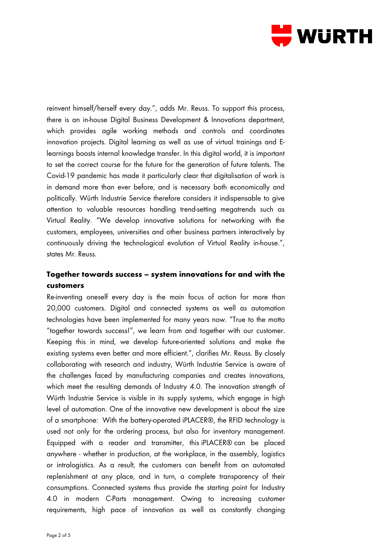

reinvent himself/herself every day.", adds Mr. Reuss. To support this process, there is an in-house Digital Business Development & Innovations department, which provides agile working methods and controls and coordinates innovation projects. Digital learning as well as use of virtual trainings and Elearnings boosts internal knowledge transfer. In this digital world, it is important to set the correct course for the future for the generation of future talents. The Covid-19 pandemic has made it particularly clear that digitalisation of work is in demand more than ever before, and is necessary both economically and politically. Würth Industrie Service therefore considers it indispensable to give attention to valuable resources handling trend-setting megatrends such as Virtual Reality. "We develop innovative solutions for networking with the customers, employees, universities and other business partners interactively by continuously driving the technological evolution of Virtual Reality in-house.", states Mr. Reuss.

## **Together towards success – system innovations for and with the customers**

Re-inventing oneself every day is the main focus of action for more than 20,000 customers. Digital and connected systems as well as automation technologies have been implemented for many years now. "True to the motto "together towards success!", we learn from and together with our customer. Keeping this in mind, we develop future-oriented solutions and make the existing systems even better and more efficient.", clarifies Mr. Reuss. By closely collaborating with research and industry, Würth Industrie Service is aware of the challenges faced by manufacturing companies and creates innovations, which meet the resulting demands of Industry 4.0. The innovation strength of Würth Industrie Service is visible in its supply systems, which engage in high level of automation. One of the innovative new development is about the size of a smartphone: With the battery-operated iPLACER®, the RFID technology is used not only for the ordering process, but also for inventory management. Equipped with a reader and transmitter, this iPLACER® can be placed anywhere - whether in production, at the workplace, in the assembly, logistics or intralogistics. As a result, the customers can benefit from an automated replenishment at any place, and in turn, a complete transparency of their consumptions. Connected systems thus provide the starting point for Industry 4.0 in modern C-Parts management. Owing to increasing customer requirements, high pace of innovation as well as constantly changing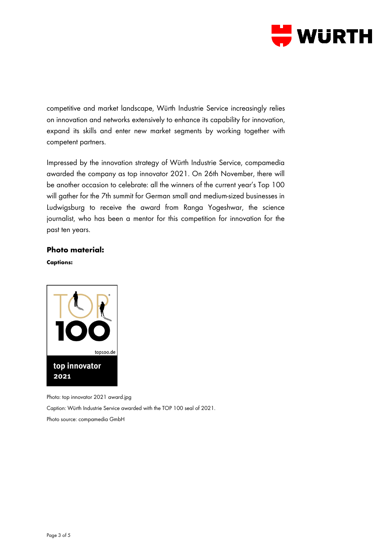

competitive and market landscape, Würth Industrie Service increasingly relies on innovation and networks extensively to enhance its capability for innovation, expand its skills and enter new market segments by working together with competent partners.

Impressed by the innovation strategy of Würth Industrie Service, compamedia awarded the company as top innovator 2021. On 26th November, there will be another occasion to celebrate: all the winners of the current year's Top 100 will gather for the 7th summit for German small and medium-sized businesses in Ludwigsburg to receive the award from Ranga Yogeshwar, the science journalist, who has been a mentor for this competition for innovation for the past ten years.

#### **Photo material:**

**Captions:**



Photo: top innovator 2021 award.jpg

Caption: Würth Industrie Service awarded with the TOP 100 seal of 2021.

Photo source: compamedia GmbH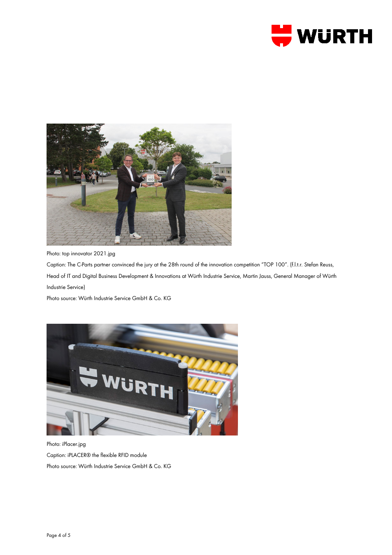



Photo: top innovator 2021.jpg

Caption: The C-Parts partner convinced the jury at the 28th round of the innovation competition "TOP 100". [\(f.l.t.r.](https://context.reverso.net/%C3%BCbersetzung/englisch-deutsch/f.l.t.r) Stefan Reuss, Head of IT and Digital Business Development & Innovations at Würth Industrie Service, Martin Jauss, General Manager of Würth Industrie Service)

Photo source: Würth Industrie Service GmbH & Co. KG



Photo: iPlacer.jpg Caption: iPLACER® the flexible RFID module Photo source: Würth Industrie Service GmbH & Co. KG